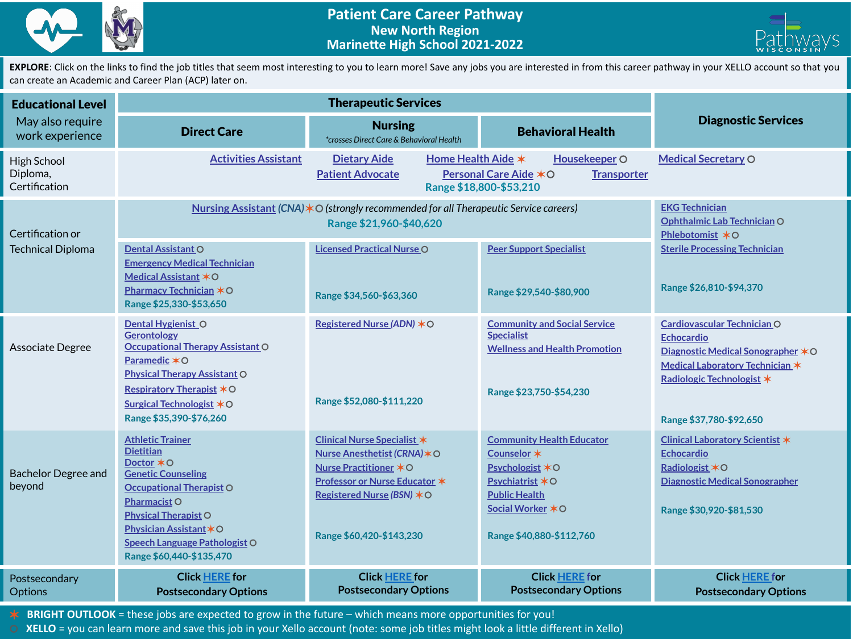



EXPLORE: Click on the links to find the job titles that seem most interesting to you to learn more! Save any jobs you are interested in from this career pathway in your XELLO account so that you can create an Academic and Career Plan (ACP) later on.

| <b>Educational Level</b>                     | <b>Therapeutic Services</b>                                                                                                                                                                                                                                     |                                                                                                                                                                                         |                                                                                                                                                                  |                                                                                                                                                                                     |
|----------------------------------------------|-----------------------------------------------------------------------------------------------------------------------------------------------------------------------------------------------------------------------------------------------------------------|-----------------------------------------------------------------------------------------------------------------------------------------------------------------------------------------|------------------------------------------------------------------------------------------------------------------------------------------------------------------|-------------------------------------------------------------------------------------------------------------------------------------------------------------------------------------|
| May also require<br>work experience          | <b>Direct Care</b>                                                                                                                                                                                                                                              | <b>Nursing</b><br>*crosses Direct Care & Behavioral Health                                                                                                                              | <b>Behavioral Health</b>                                                                                                                                         | <b>Diagnostic Services</b>                                                                                                                                                          |
| High School<br>Diploma,<br>Certification     | <b>Activities Assistant</b>                                                                                                                                                                                                                                     | Home Health Aide *<br>Housekeeper O<br><b>Dietary Aide</b><br><b>Personal Care Aide ∗O</b><br><b>Patient Advocate</b><br><b>Transporter</b><br>Range \$18,800-\$53,210                  |                                                                                                                                                                  | <b>Medical Secretary O</b>                                                                                                                                                          |
| Certification or<br><b>Technical Diploma</b> | Nursing Assistant (CNA) $*$ O (strongly recommended for all Therapeutic Service careers)                                                                                                                                                                        | <b>EKG Technician</b><br>Ophthalmic Lab Technician O<br>Phlebotomist *O                                                                                                                 |                                                                                                                                                                  |                                                                                                                                                                                     |
|                                              | <b>Dental Assistant O</b><br><b>Emergency Medical Technician</b><br>Medical Assistant *O<br><b>Pharmacy Technician <math>*</math> O</b><br>Range \$25,330-\$53,650                                                                                              | <b>Licensed Practical Nurse O</b><br>Range \$34,560-\$63,360                                                                                                                            | <b>Peer Support Specialist</b><br>Range \$29,540-\$80,900                                                                                                        | <b>Sterile Processing Technician</b><br>Range \$26,810-\$94,370                                                                                                                     |
| Associate Degree                             | Dental Hygienist O<br><b>Gerontology</b><br><b>Occupational Therapy Assistant O</b><br>Paramedic *O<br><b>Physical Therapy Assistant O</b><br><b>Respiratory Therapist </b> <sup>★○</sup><br>Surgical Technologist $*$ O<br>Range \$35,390-\$76,260             | Registered Nurse (ADN) * O<br>Range \$52,080-\$111,220                                                                                                                                  | <b>Community and Social Service</b><br><b>Specialist</b><br><b>Wellness and Health Promotion</b><br>Range \$23,750-\$54,230                                      | Cardiovascular Technician O<br><b>Echocardio</b><br>Diagnostic Medical Sonographer $*$ O<br>Medical Laboratory Technician *<br>Radiologic Technologist *<br>Range \$37,780-\$92,650 |
| Bachelor Degree and<br>beyond                | <b>Athletic Trainer</b><br><b>Dietitian</b><br>Doctor *O<br><b>Genetic Counseling</b><br><b>Occupational Therapist O</b><br>Pharmacist O<br><b>Physical Therapist O</b><br>Physician Assistant * O<br>Speech Language Pathologist O<br>Range \$60,440-\$135,470 | <b>Clinical Nurse Specialist *</b><br>Nurse Anesthetist (CRNA) $*$ O<br>Nurse Practitioner *O<br>Professor or Nurse Educator *<br>Registered Nurse (BSN) *O<br>Range \$60,420-\$143,230 | <b>Community Health Educator</b><br>Counselor *<br>Psychologist *O<br>Psychiatrist $*$ O<br><b>Public Health</b><br>Social Worker *O<br>Range \$40,880-\$112,760 | <b>Clinical Laboratory Scientist *</b><br><b>Echocardio</b><br>Radiologist $*$ O<br><b>Diagnostic Medical Sonographer</b><br>Range \$30,920-\$81,530                                |
| Postsecondary<br><b>Options</b>              | <b>Click HERE for</b><br><b>Postsecondary Options</b>                                                                                                                                                                                                           | <b>Click HERE for</b><br><b>Postsecondary Options</b>                                                                                                                                   | <b>Click HERE for</b><br><b>Postsecondary Options</b>                                                                                                            | <b>Click HERE for</b><br><b>Postsecondary Options</b>                                                                                                                               |

✶ **BRIGHT OUTLOOK** = these jobs are expected to grow in the future – which means more opportunities for you!

⚪ **XELLO** = you can learn more and save this job in your Xello account (note: some job titles might look a little different in Xello)